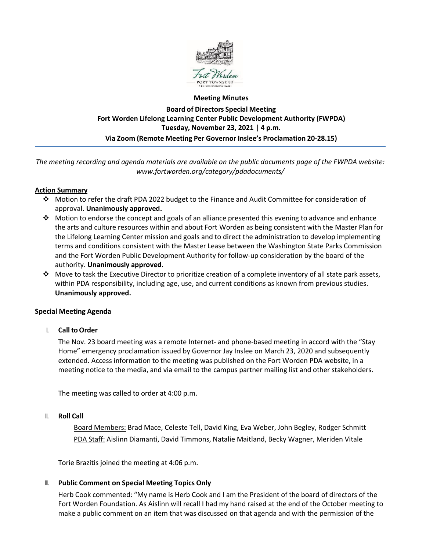

# **Meeting Minutes Board of Directors Special Meeting Fort Worden Lifelong Learning Center Public Development Authority (FWPDA) Tuesday, November 23, 2021 | 4 p.m. Via Zoom (Remote Meeting Per Governor Inslee's Proclamation 20-28.15)**

*The meeting recording and agenda materials are available on the public documents page of the FWPDA website: www.fortworden.org/category/pdadocuments/*

### **Action Summary**

- Motion to refer the draft PDA 2022 budget to the Finance and Audit Committee for consideration of approval. **Unanimously approved.**
- $\cdot \cdot$  Motion to endorse the concept and goals of an alliance presented this evening to advance and enhance the arts and culture resources within and about Fort Worden as being consistent with the Master Plan for the Lifelong Learning Center mission and goals and to direct the administration to develop implementing terms and conditions consistent with the Master Lease between the Washington State Parks Commission and the Fort Worden Public Development Authority for follow-up consideration by the board of the authority. **Unanimously approved.**
- $\clubsuit$  Move to task the Executive Director to prioritize creation of a complete inventory of all state park assets, within PDA responsibility, including age, use, and current conditions as known from previous studies. **Unanimously approved.**

### **Special Meeting Agenda**

I. **Call toOrder**

The Nov. 23 board meeting was a remote Internet- and phone-based meeting in accord with the "Stay Home" emergency proclamation issued by Governor Jay Inslee on March 23, 2020 and subsequently extended. Access information to the meeting was published on the Fort Worden PDA website, in a meeting notice to the media, and via email to the campus partner mailing list and other stakeholders.

The meeting was called to order at 4:00 p.m.

### II. **Roll Call**

Board Members: Brad Mace, Celeste Tell, David King, Eva Weber, John Begley, Rodger Schmitt PDA Staff: Aislinn Diamanti, David Timmons, Natalie Maitland, Becky Wagner, Meriden Vitale

Torie Brazitis joined the meeting at 4:06 p.m.

### III. **Public Comment on Special Meeting Topics Only**

Herb Cook commented: "My name is Herb Cook and I am the President of the board of directors of the Fort Worden Foundation. As Aislinn will recall I had my hand raised at the end of the October meeting to make a public comment on an item that was discussed on that agenda and with the permission of the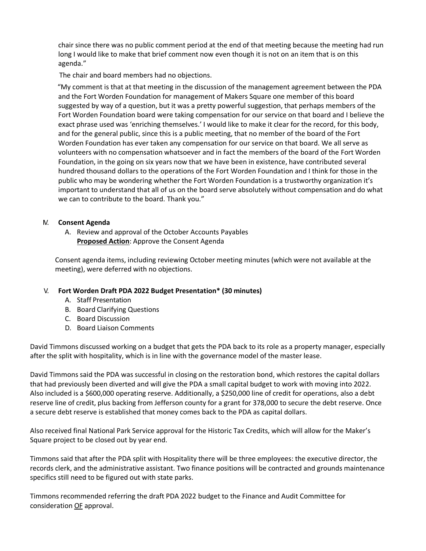chair since there was no public comment period at the end of that meeting because the meeting had run long I would like to make that brief comment now even though it is not on an item that is on this agenda."

The chair and board members had no objections.

 "My comment is that at that meeting in the discussion of the management agreement between the PDA and the Fort Worden Foundation for management of Makers Square one member of this board suggested by way of a question, but it was a pretty powerful suggestion, that perhaps members of the Fort Worden Foundation board were taking compensation for our service on that board and I believe the exact phrase used was 'enriching themselves.' I would like to make it clear for the record, for this body, and for the general public, since this is a public meeting, that no member of the board of the Fort Worden Foundation has ever taken any compensation for our service on that board. We all serve as volunteers with no compensation whatsoever and in fact the members of the board of the Fort Worden Foundation, in the going on six years now that we have been in existence, have contributed several hundred thousand dollars to the operations of the Fort Worden Foundation and I think for those in the public who may be wondering whether the Fort Worden Foundation is a trustworthy organization it's important to understand that all of us on the board serve absolutely without compensation and do what we can to contribute to the board. Thank you."

### IV. **Consent Agenda**

A. Review and approval of the October Accounts Payables **Proposed Action**: Approve the Consent Agenda

Consent agenda items, including reviewing October meeting minutes (which were not available at the meeting), were deferred with no objections.

## V. **Fort Worden Draft PDA 2022 Budget Presentation\* (30 minutes)**

- A. Staff Presentation
- B. Board Clarifying Questions
- C. Board Discussion
- D. Board Liaison Comments

David Timmons discussed working on a budget that gets the PDA back to its role as a property manager, especially after the split with hospitality, which is in line with the governance model of the master lease.

David Timmons said the PDA was successful in closing on the restoration bond, which restores the capital dollars that had previously been diverted and will give the PDA a small capital budget to work with moving into 2022. Also included is a \$600,000 operating reserve. Additionally, a \$250,000 line of credit for operations, also a debt reserve line of credit, plus backing from Jefferson county for a grant for 378,000 to secure the debt reserve. Once a secure debt reserve is established that money comes back to the PDA as capital dollars.

Also received final National Park Service approval for the Historic Tax Credits, which will allow for the Maker's Square project to be closed out by year end.

Timmons said that after the PDA split with Hospitality there will be three employees: the executive director, the records clerk, and the administrative assistant. Two finance positions will be contracted and grounds maintenance specifics still need to be figured out with state parks.

Timmons recommended referring the draft PDA 2022 budget to the Finance and Audit Committee for consideration OF approval.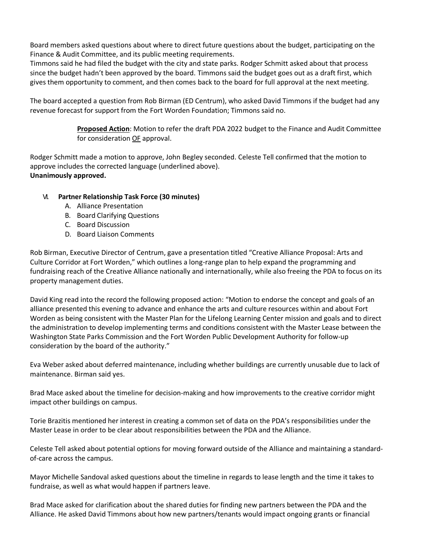Board members asked questions about where to direct future questions about the budget, participating on the Finance & Audit Committee, and its public meeting requirements.

Timmons said he had filed the budget with the city and state parks. Rodger Schmitt asked about that process since the budget hadn't been approved by the board. Timmons said the budget goes out as a draft first, which gives them opportunity to comment, and then comes back to the board for full approval at the next meeting.

The board accepted a question from Rob Birman (ED Centrum), who asked David Timmons if the budget had any revenue forecast for support from the Fort Worden Foundation; Timmons said no.

> **Proposed Action**: Motion to refer the draft PDA 2022 budget to the Finance and Audit Committee for consideration OF approval.

Rodger Schmitt made a motion to approve, John Begley seconded. Celeste Tell confirmed that the motion to approve includes the corrected language (underlined above). **Unanimously approved.**

## VI. **Partner Relationship Task Force (30 minutes)**

- A. Alliance Presentation
- B. Board Clarifying Questions
- C. Board Discussion
- D. Board Liaison Comments

Rob Birman, Executive Director of Centrum, gave a presentation titled "Creative Alliance Proposal: Arts and Culture Corridor at Fort Worden," which outlines a long-range plan to help expand the programming and fundraising reach of the Creative Alliance nationally and internationally, while also freeing the PDA to focus on its property management duties.

David King read into the record the following proposed action: "Motion to endorse the concept and goals of an alliance presented this evening to advance and enhance the arts and culture resources within and about Fort Worden as being consistent with the Master Plan for the Lifelong Learning Center mission and goals and to direct the administration to develop implementing terms and conditions consistent with the Master Lease between the Washington State Parks Commission and the Fort Worden Public Development Authority for follow-up consideration by the board of the authority."

Eva Weber asked about deferred maintenance, including whether buildings are currently unusable due to lack of maintenance. Birman said yes.

Brad Mace asked about the timeline for decision-making and how improvements to the creative corridor might impact other buildings on campus.

Torie Brazitis mentioned her interest in creating a common set of data on the PDA's responsibilities under the Master Lease in order to be clear about responsibilities between the PDA and the Alliance.

Celeste Tell asked about potential options for moving forward outside of the Alliance and maintaining a standardof-care across the campus.

Mayor Michelle Sandoval asked questions about the timeline in regards to lease length and the time it takes to fundraise, as well as what would happen if partners leave.

Brad Mace asked for clarification about the shared duties for finding new partners between the PDA and the Alliance. He asked David Timmons about how new partners/tenants would impact ongoing grants or financial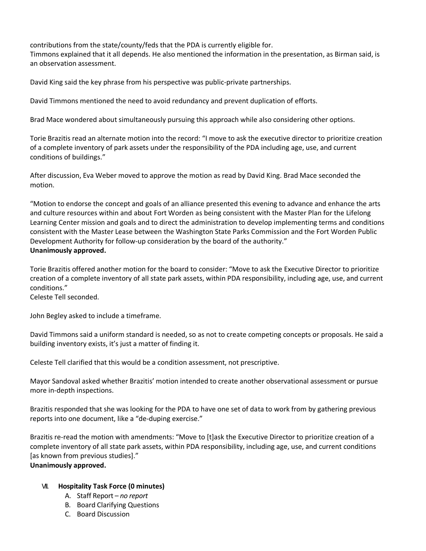contributions from the state/county/feds that the PDA is currently eligible for. Timmons explained that it all depends. He also mentioned the information in the presentation, as Birman said, is an observation assessment.

David King said the key phrase from his perspective was public-private partnerships.

David Timmons mentioned the need to avoid redundancy and prevent duplication of efforts.

Brad Mace wondered about simultaneously pursuing this approach while also considering other options.

Torie Brazitis read an alternate motion into the record: "I move to ask the executive director to prioritize creation of a complete inventory of park assets under the responsibility of the PDA including age, use, and current conditions of buildings."

After discussion, Eva Weber moved to approve the motion as read by David King. Brad Mace seconded the motion.

"Motion to endorse the concept and goals of an alliance presented this evening to advance and enhance the arts and culture resources within and about Fort Worden as being consistent with the Master Plan for the Lifelong Learning Center mission and goals and to direct the administration to develop implementing terms and conditions consistent with the Master Lease between the Washington State Parks Commission and the Fort Worden Public Development Authority for follow-up consideration by the board of the authority." **Unanimously approved.**

Torie Brazitis offered another motion for the board to consider: "Move to ask the Executive Director to prioritize creation of a complete inventory of all state park assets, within PDA responsibility, including age, use, and current conditions."

Celeste Tell seconded.

John Begley asked to include a timeframe.

David Timmons said a uniform standard is needed, so as not to create competing concepts or proposals. He said a building inventory exists, it's just a matter of finding it.

Celeste Tell clarified that this would be a condition assessment, not prescriptive.

Mayor Sandoval asked whether Brazitis' motion intended to create another observational assessment or pursue more in-depth inspections.

Brazitis responded that she was looking for the PDA to have one set of data to work from by gathering previous reports into one document, like a "de-duping exercise."

Brazitis re-read the motion with amendments: "Move to [t]ask the Executive Director to prioritize creation of a complete inventory of all state park assets, within PDA responsibility, including age, use, and current conditions [as known from previous studies]."

# **Unanimously approved.**

## VII. **Hospitality Task Force (0 minutes)**

- A. Staff Report *no report*
- B. Board Clarifying Questions
- C. Board Discussion